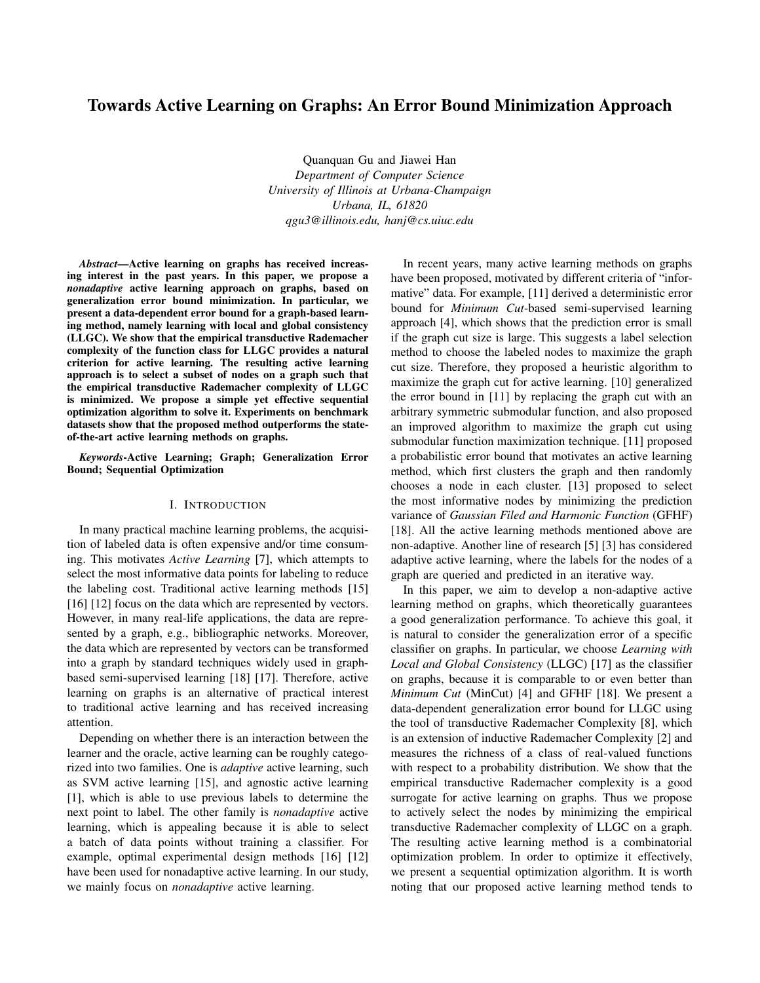# Towards Active Learning on Graphs: An Error Bound Minimization Approach

Quanquan Gu and Jiawei Han *Department of Computer Science University of Illinois at Urbana-Champaign Urbana, IL, 61820 qgu3@illinois.edu, hanj@cs.uiuc.edu*

*Abstract*—Active learning on graphs has received increasing interest in the past years. In this paper, we propose a *nonadaptive* active learning approach on graphs, based on generalization error bound minimization. In particular, we present a data-dependent error bound for a graph-based learning method, namely learning with local and global consistency (LLGC). We show that the empirical transductive Rademacher complexity of the function class for LLGC provides a natural criterion for active learning. The resulting active learning approach is to select a subset of nodes on a graph such that the empirical transductive Rademacher complexity of LLGC is minimized. We propose a simple yet effective sequential optimization algorithm to solve it. Experiments on benchmark datasets show that the proposed method outperforms the stateof-the-art active learning methods on graphs.

*Keywords*-Active Learning; Graph; Generalization Error Bound; Sequential Optimization

## I. INTRODUCTION

In many practical machine learning problems, the acquisition of labeled data is often expensive and/or time consuming. This motivates *Active Learning* [7], which attempts to select the most informative data points for labeling to reduce the labeling cost. Traditional active learning methods [15] [16] [12] focus on the data which are represented by vectors. However, in many real-life applications, the data are represented by a graph, e.g., bibliographic networks. Moreover, the data which are represented by vectors can be transformed into a graph by standard techniques widely used in graphbased semi-supervised learning [18] [17]. Therefore, active learning on graphs is an alternative of practical interest to traditional active learning and has received increasing attention.

Depending on whether there is an interaction between the learner and the oracle, active learning can be roughly categorized into two families. One is *adaptive* active learning, such as SVM active learning [15], and agnostic active learning [1], which is able to use previous labels to determine the next point to label. The other family is *nonadaptive* active learning, which is appealing because it is able to select a batch of data points without training a classifier. For example, optimal experimental design methods [16] [12] have been used for nonadaptive active learning. In our study, we mainly focus on *nonadaptive* active learning.

In recent years, many active learning methods on graphs have been proposed, motivated by different criteria of "informative" data. For example, [11] derived a deterministic error bound for *Minimum Cut*-based semi-supervised learning approach [4], which shows that the prediction error is small if the graph cut size is large. This suggests a label selection method to choose the labeled nodes to maximize the graph cut size. Therefore, they proposed a heuristic algorithm to maximize the graph cut for active learning. [10] generalized the error bound in [11] by replacing the graph cut with an arbitrary symmetric submodular function, and also proposed an improved algorithm to maximize the graph cut using submodular function maximization technique. [11] proposed a probabilistic error bound that motivates an active learning method, which first clusters the graph and then randomly chooses a node in each cluster. [13] proposed to select the most informative nodes by minimizing the prediction variance of *Gaussian Filed and Harmonic Function* (GFHF) [18]. All the active learning methods mentioned above are non-adaptive. Another line of research [5] [3] has considered adaptive active learning, where the labels for the nodes of a graph are queried and predicted in an iterative way.

In this paper, we aim to develop a non-adaptive active learning method on graphs, which theoretically guarantees a good generalization performance. To achieve this goal, it is natural to consider the generalization error of a specific classifier on graphs. In particular, we choose *Learning with Local and Global Consistency* (LLGC) [17] as the classifier on graphs, because it is comparable to or even better than *Minimum Cut* (MinCut) [4] and GFHF [18]. We present a data-dependent generalization error bound for LLGC using the tool of transductive Rademacher Complexity [8], which is an extension of inductive Rademacher Complexity [2] and measures the richness of a class of real-valued functions with respect to a probability distribution. We show that the empirical transductive Rademacher complexity is a good surrogate for active learning on graphs. Thus we propose to actively select the nodes by minimizing the empirical transductive Rademacher complexity of LLGC on a graph. The resulting active learning method is a combinatorial optimization problem. In order to optimize it effectively, we present a sequential optimization algorithm. It is worth noting that our proposed active learning method tends to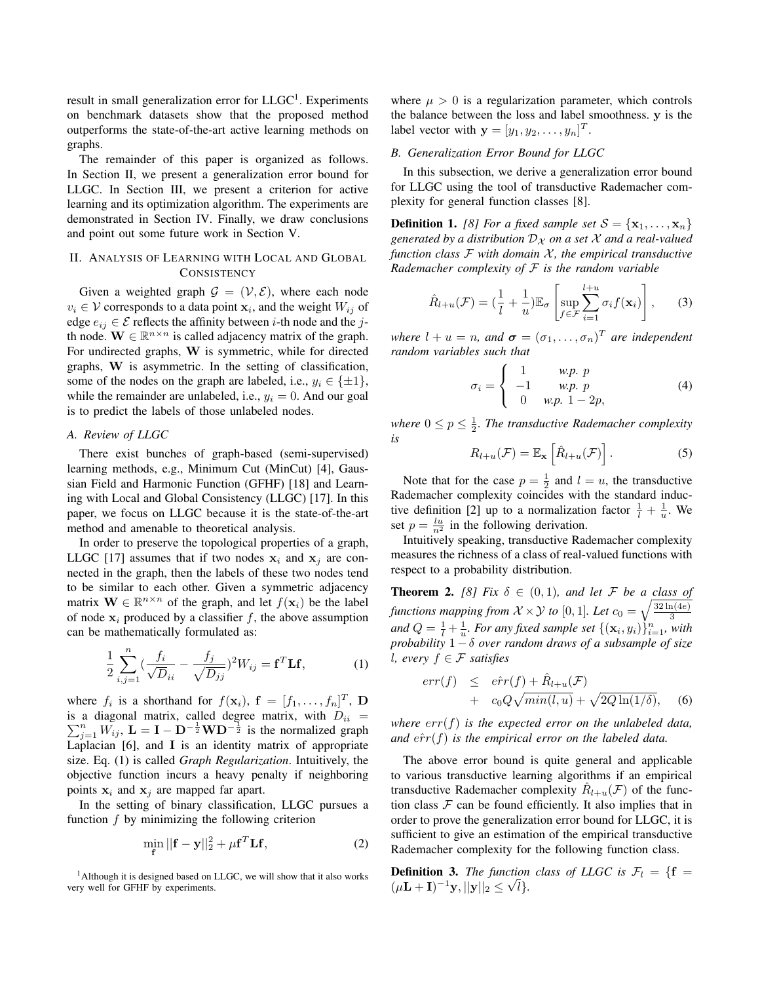result in small generalization error for  $LLGC<sup>1</sup>$ . Experiments on benchmark datasets show that the proposed method outperforms the state-of-the-art active learning methods on graphs.

The remainder of this paper is organized as follows. In Section II, we present a generalization error bound for LLGC. In Section III, we present a criterion for active learning and its optimization algorithm. The experiments are demonstrated in Section IV. Finally, we draw conclusions and point out some future work in Section V.

## II. ANALYSIS OF LEARNING WITH LOCAL AND GLOBAL **CONSISTENCY**

Given a weighted graph  $G = (\mathcal{V}, \mathcal{E})$ , where each node  $v_i \in \mathcal{V}$  corresponds to a data point  $\mathbf{x}_i$ , and the weight  $W_{ij}$  of edge  $e_{ij} \in \mathcal{E}$  reflects the affinity between *i*-th node and the *j*th node.  $\mathbf{W} \in \mathbb{R}^{n \times n}$  is called adjacency matrix of the graph. For undirected graphs, **W** is symmetric, while for directed graphs, **W** is asymmetric. In the setting of classification, some of the nodes on the graph are labeled, i.e.,  $y_i \in \{\pm 1\}$ , while the remainder are unlabeled, i.e.,  $y_i = 0$ . And our goal is to predict the labels of those unlabeled nodes.

## *A. Review of LLGC*

There exist bunches of graph-based (semi-supervised) learning methods, e.g., Minimum Cut (MinCut) [4], Gaussian Field and Harmonic Function (GFHF) [18] and Learning with Local and Global Consistency (LLGC) [17]. In this paper, we focus on LLGC because it is the state-of-the-art method and amenable to theoretical analysis.

In order to preserve the topological properties of a graph, LLGC [17] assumes that if two nodes  $x_i$  and  $x_j$  are connected in the graph, then the labels of these two nodes tend to be similar to each other. Given a symmetric adjacency matrix  $\mathbf{W} \in \mathbb{R}^{n \times n}$  of the graph, and let  $f(\mathbf{x}_i)$  be the label of node  $x_i$  produced by a classifier  $f$ , the above assumption can be mathematically formulated as:

$$
\frac{1}{2} \sum_{i,j=1}^{n} \left( \frac{f_i}{\sqrt{D}_{ii}} - \frac{f_j}{\sqrt{D_{jj}}} \right)^2 W_{ij} = \mathbf{f}^T \mathbf{L} \mathbf{f},\tag{1}
$$

where  $f_i$  is a shorthand for  $f(\mathbf{x}_i)$ ,  $\mathbf{f} = [f_1, \dots, f_n]^T$ ,  $\mathbf{D}$ is a diagonal matrix, called degree matrix, with  $D_{ii}$  =  $\sum_{j=1}^{n} W_{ij}$ ,  $\mathbf{L} = \mathbf{I} - \mathbf{D}^{-\frac{1}{2}} \mathbf{W} \mathbf{D}^{-\frac{1}{2}}$  is the normalized graph Laplacian [6], and **I** is an identity matrix of appropriate size. Eq. (1) is called *Graph Regularization*. Intuitively, the objective function incurs a heavy penalty if neighboring points  $x_i$  and  $x_j$  are mapped far apart.

In the setting of binary classification, LLGC pursues a function *f* by minimizing the following criterion

$$
\min_{\mathbf{f}} ||\mathbf{f} - \mathbf{y}||_2^2 + \mu \mathbf{f}^T \mathbf{L} \mathbf{f},\tag{2}
$$

where  $\mu > 0$  is a regularization parameter, which controls the balance between the loss and label smoothness. **y** is the label vector with  $\mathbf{y} = [y_1, y_2, \dots, y_n]^T$ .

## *B. Generalization Error Bound for LLGC*

In this subsection, we derive a generalization error bound for LLGC using the tool of transductive Rademacher complexity for general function classes [8].

**Definition 1.** *[8] For a fixed sample set*  $S = {\mathbf{x}_1, \dots, \mathbf{x}_n}$ *generated by a distribution*  $D_X$  *on a set*  $X$  *and a real-valued function class F with domain X , the empirical transductive Rademacher complexity of F is the random variable*

$$
\hat{R}_{l+u}(\mathcal{F}) = \left(\frac{1}{l} + \frac{1}{u}\right) \mathbb{E}_{\sigma} \left[\sup_{f \in \mathcal{F}} \sum_{i=1}^{l+u} \sigma_i f(\mathbf{x}_i)\right],\qquad(3)
$$

*where*  $l + u = n$ *, and*  $\boldsymbol{\sigma} = (\sigma_1, \dots, \sigma_n)^T$  *are independent random variables such that*

$$
\sigma_i = \begin{cases}\n1 & \text{w.p. } p \\
-1 & \text{w.p. } p \\
0 & \text{w.p. } 1 - 2p,\n\end{cases}
$$
\n(4)

where  $0 \le p \le \frac{1}{2}$ . The transductive Rademacher complexity *is*

$$
R_{l+u}(\mathcal{F}) = \mathbb{E}_{\mathbf{x}}\left[\hat{R}_{l+u}(\mathcal{F})\right]. \tag{5}
$$

Note that for the case  $p = \frac{1}{2}$  and  $l = u$ , the transductive Rademacher complexity coincides with the standard inductive definition [2] up to a normalization factor  $\frac{1}{l} + \frac{1}{u}$ . We set  $p = \frac{lu}{n^2}$  in the following derivation.

Intuitively speaking, transductive Rademacher complexity measures the richness of a class of real-valued functions with respect to a probability distribution.

**Theorem 2.** [8] Fix  $\delta \in (0,1)$ *, and let* F *be a class of functions mapping from*  $\mathcal{X} \times \mathcal{Y}$  *to*  $[0, 1]$ *. Let*  $c_0 = \sqrt{\frac{32 \ln(4e)}{3}}$ *and*  $Q = \frac{1}{l} + \frac{1}{u}$ *. For any fixed sample set*  $\{(\mathbf{x}_i, y_i)\}_{i=1}^n$ *, with probability* 1 *− δ over random draws of a subsample of size l, every f ∈ F satisfies*

$$
err(f) \le \hat{err}(f) + \hat{R}_{l+u}(\mathcal{F}) + c_0 Q \sqrt{\min(l, u)} + \sqrt{2Q \ln(1/\delta)}, \quad (6)
$$

*where err*(*f*) *is the expected error on the unlabeled data, and*  $\hat{err}(f)$  *is the empirical error on the labeled data.* 

The above error bound is quite general and applicable to various transductive learning algorithms if an empirical transductive Rademacher complexity  $\hat{R}_{l+u}(\mathcal{F})$  of the function class  $F$  can be found efficiently. It also implies that in order to prove the generalization error bound for LLGC, it is sufficient to give an estimation of the empirical transductive Rademacher complexity for the following function class.

**Definition 3.** *The function class of LLGC is*  $\mathcal{F}_l = \{ \mathbf{f} = \mathbf{f} \}$  $(\mu \mathbf{L} + \mathbf{I})^{-1} \mathbf{y}, ||\mathbf{y}||_2 \leq \sqrt{l}.$ 

<sup>&</sup>lt;sup>1</sup>Although it is designed based on LLGC, we will show that it also works very well for GFHF by experiments.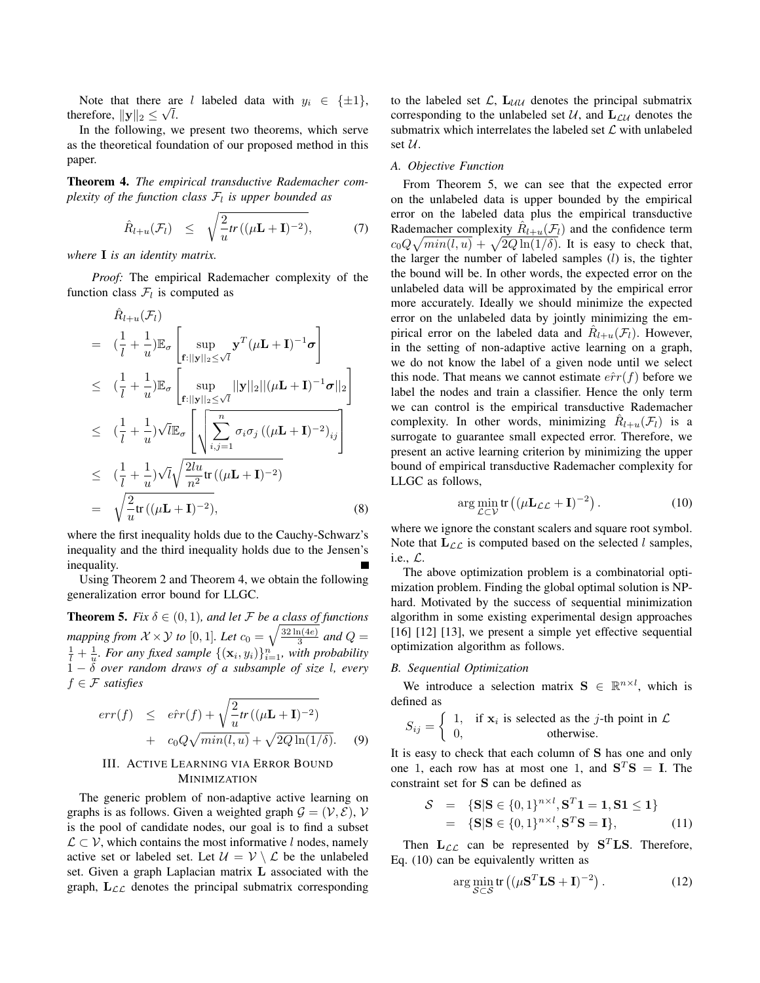Note that there are *l* labeled data with  $y_i \in {\pm 1}$ , therefore,  $||\mathbf{y}||_2 \leq \sqrt{l}$ .

In the following, we present two theorems, which serve as the theoretical foundation of our proposed method in this paper.

Theorem 4. *The empirical transductive Rademacher complexity of the function class F<sup>l</sup> is upper bounded as*

$$
\hat{R}_{l+u}(\mathcal{F}_l) \leq \sqrt{\frac{2}{u}tr((\mu \mathbf{L} + \mathbf{I})^{-2})}, \tag{7}
$$

*where* **I** *is an identity matrix.*

*Proof:* The empirical Rademacher complexity of the function class  $\mathcal{F}_l$  is computed as

$$
\hat{R}_{l+u}(\mathcal{F}_{l})
$$
\n
$$
= \left( \frac{1}{l} + \frac{1}{u} \right) \mathbb{E}_{\sigma} \left[ \sup_{\mathbf{f}:||\mathbf{y}||_{2} \leq \sqrt{l}} \mathbf{y}^{T} (\mu \mathbf{L} + \mathbf{I})^{-1} \sigma \right]
$$
\n
$$
\leq \left( \frac{1}{l} + \frac{1}{u} \right) \mathbb{E}_{\sigma} \left[ \sup_{\mathbf{f}:||\mathbf{y}||_{2} \leq \sqrt{l}} ||\mathbf{y}||_{2} ||(\mu \mathbf{L} + \mathbf{I})^{-1} \sigma||_{2} \right]
$$
\n
$$
\leq \left( \frac{1}{l} + \frac{1}{u} \right) \sqrt{l} \mathbb{E}_{\sigma} \left[ \sqrt{\sum_{i,j=1}^{n} \sigma_{i} \sigma_{j} \left( (\mu \mathbf{L} + \mathbf{I})^{-2} \right)_{ij}} \right]
$$
\n
$$
\leq \left( \frac{1}{l} + \frac{1}{u} \right) \sqrt{l} \sqrt{\frac{2lu}{n^{2}} tr \left( (\mu \mathbf{L} + \mathbf{I})^{-2} \right)}
$$
\n
$$
= \sqrt{\frac{2}{u} tr \left( (\mu \mathbf{L} + \mathbf{I})^{-2} \right)}, \tag{8}
$$

where the first inequality holds due to the Cauchy-Schwarz's inequality and the third inequality holds due to the Jensen's inequality.

Using Theorem 2 and Theorem 4, we obtain the following generalization error bound for LLGC.

**Theorem 5.** *Fix*  $\delta \in (0,1)$ *, and let F be a class of functions mapping from*  $\mathcal{X} \times \mathcal{Y}$  *to* [0, 1]*. Let*  $c_0 = \sqrt{\frac{32 \ln(4e)}{3}}$  $rac{a(4e)}{3}$  and  $Q=$  $\frac{1}{l} + \frac{1}{u}$ . For any fixed sample  $\{(\mathbf{x}_i, y_i)\}_{i=1}^n$ , with probability 1 *− δ over random draws of a subsample of size l, every f ∈ F satisfies*

$$
err(f) \le \hat{err}(f) + \sqrt{\frac{2}{u}} tr((\mu \mathbf{L} + \mathbf{I})^{-2}) + c_0 Q \sqrt{min(l, u)} + \sqrt{2Q \ln(1/\delta)}. \quad (9)
$$

## III. ACTIVE LEARNING VIA ERROR BOUND **MINIMIZATION**

The generic problem of non-adaptive active learning on graphs is as follows. Given a weighted graph  $\mathcal{G} = (\mathcal{V}, \mathcal{E})$ ,  $\mathcal{V}$ is the pool of candidate nodes, our goal is to find a subset *L ⊂ V*, which contains the most informative *l* nodes, namely active set or labeled set. Let  $\mathcal{U} = \mathcal{V} \setminus \mathcal{L}$  be the unlabeled set. Given a graph Laplacian matrix **L** associated with the graph,  $L_{LL}$  denotes the principal submatrix corresponding to the labeled set  $\mathcal{L}$ ,  $\mathbf{L}_{\mathcal{U}\mathcal{U}}$  denotes the principal submatrix corresponding to the unlabeled set  $U$ , and  $L_{\mathcal{L}U}$  denotes the submatrix which interrelates the labeled set *L* with unlabeled set *U*.

### *A. Objective Function*

From Theorem 5, we can see that the expected error on the unlabeled data is upper bounded by the empirical error on the labeled data plus the empirical transductive Rademacher complexity  $\hat{R}_{l+u}(\mathcal{F}_l)$  and the confidence term  $c_0 Q \sqrt{min(l, u)} + \sqrt{2Q \ln(1/\delta)}$ . It is easy to check that, the larger the number of labeled samples (*l*) is, the tighter the bound will be. In other words, the expected error on the unlabeled data will be approximated by the empirical error more accurately. Ideally we should minimize the expected error on the unlabeled data by jointly minimizing the empirical error on the labeled data and  $\hat{R}_{l+u}(\mathcal{F}_l)$ . However, in the setting of non-adaptive active learning on a graph, we do not know the label of a given node until we select this node. That means we cannot estimate  $\hat{err}(f)$  before we label the nodes and train a classifier. Hence the only term we can control is the empirical transductive Rademacher complexity. In other words, minimizing  $\hat{R}_{l+u}(\mathcal{F}_l)$  is a surrogate to guarantee small expected error. Therefore, we present an active learning criterion by minimizing the upper bound of empirical transductive Rademacher complexity for LLGC as follows,

$$
\arg\min_{\mathcal{L}\subset\mathcal{V}}\text{tr}\left((\mu\mathbf{L}_{\mathcal{L}\mathcal{L}}+\mathbf{I})^{-2}\right). \tag{10}
$$

where we ignore the constant scalers and square root symbol. Note that  $\mathbf{L}_{\mathcal{LL}}$  is computed based on the selected *l* samples, i.e., *L*.

The above optimization problem is a combinatorial optimization problem. Finding the global optimal solution is NPhard. Motivated by the success of sequential minimization algorithm in some existing experimental design approaches [16] [12] [13], we present a simple yet effective sequential optimization algorithm as follows.

## *B. Sequential Optimization*

We introduce a selection matrix  $S \in \mathbb{R}^{n \times l}$ , which is defined as

$$
S_{ij} = \begin{cases} 1, & \text{if } \mathbf{x}_i \text{ is selected as the } j\text{-th point in } \mathcal{L} \\ 0, & \text{otherwise.} \end{cases}
$$

It is easy to check that each column of **S** has one and only one 1, each row has at most one 1, and  $S^T S = I$ . The constraint set for **S** can be defined as

$$
S = {S|S \in {0,1}^{n \times l}, S^T 1 = 1, S1 \le 1}
$$
  
= {S|S \in {0,1}^{n \times l}, S^T S = I}, (11)

Then  $\mathbf{L}_{\mathcal{LL}}$  can be represented by  $\mathbf{S}^T \mathbf{LS}$ . Therefore, Eq. (10) can be equivalently written as

$$
\arg\min_{\mathcal{S}\subset\mathcal{S}}\text{tr}\left((\mu\mathbf{S}^T\mathbf{L}\mathbf{S}+\mathbf{I})^{-2}\right). \tag{12}
$$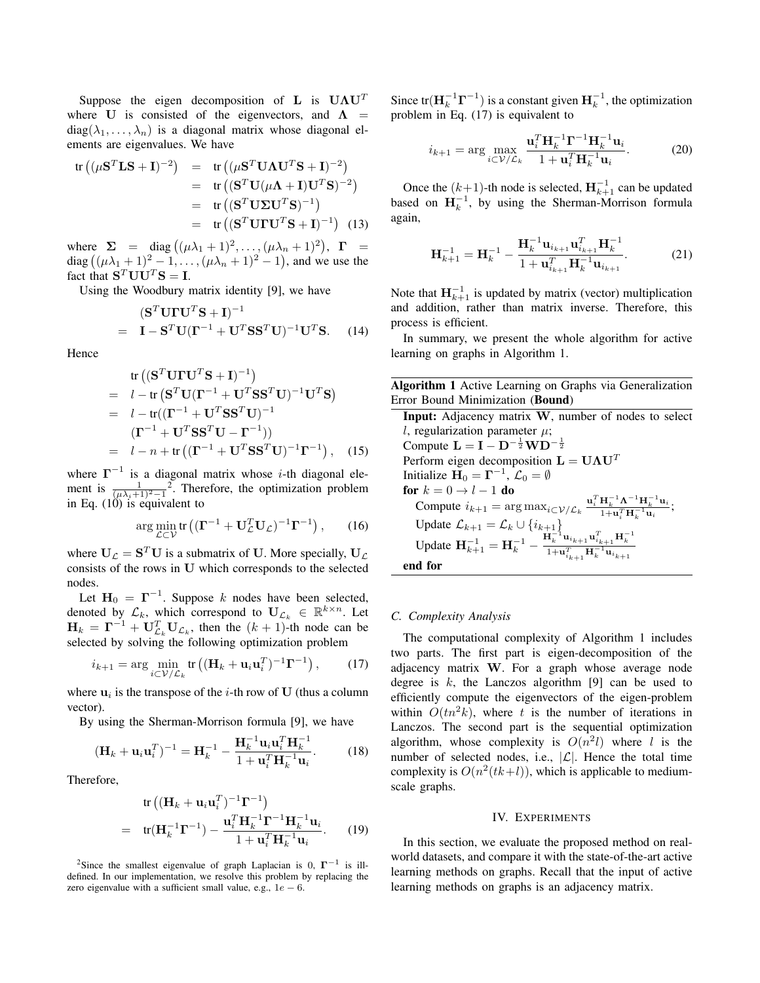Suppose the eigen decomposition of **L** is **UΛU***<sup>T</sup>* where **U** is consisted of the eigenvectors, and  $\Lambda$  =  $diag(\lambda_1, \ldots, \lambda_n)$  is a diagonal matrix whose diagonal elements are eigenvalues. We have

$$
tr((\mu S^T LS + I)^{-2}) = tr((\mu S^T U \Lambda U^T S + I)^{-2})
$$
  
= tr((S^T U(\mu \Lambda + I)U^T S)^{-2})  
= tr((S^T U \Sigma U^T S)^{-1})  
= tr((S^T U \Gamma U^T S + I)^{-1}) (13)

where  $\Sigma = \text{diag}((\mu \lambda_1 + 1)^2, \dots, (\mu \lambda_n + 1)^2), \Gamma =$ diag  $((\mu \lambda_1 + 1)^2 - 1, ..., (\mu \lambda_n + 1)^2 - 1)$ , and we use the fact that  $S^T U U^T S = I$ .

Using the Woodbury matrix identity [9], we have

$$
(\mathbf{S}^T \mathbf{U} \mathbf{\Gamma} \mathbf{U}^T \mathbf{S} + \mathbf{I})^{-1}
$$
  
=  $\mathbf{I} - \mathbf{S}^T \mathbf{U} (\mathbf{\Gamma}^{-1} + \mathbf{U}^T \mathbf{S} \mathbf{S}^T \mathbf{U})^{-1} \mathbf{U}^T \mathbf{S}.$  (14)

Hence

tr 
$$
((\mathbf{S}^T \mathbf{U} \mathbf{\Gamma} \mathbf{U}^T \mathbf{S} + \mathbf{I})^{-1})
$$
  
=  $l - \text{tr} (\mathbf{S}^T \mathbf{U} (\mathbf{\Gamma}^{-1} + \mathbf{U}^T \mathbf{S} \mathbf{S}^T \mathbf{U})^{-1} \mathbf{U}^T \mathbf{S})$   
=  $l - \text{tr}((\mathbf{\Gamma}^{-1} + \mathbf{U}^T \mathbf{S} \mathbf{S}^T \mathbf{U})^{-1}$   

$$
(\mathbf{\Gamma}^{-1} + \mathbf{U}^T \mathbf{S} \mathbf{S}^T \mathbf{U} - \mathbf{\Gamma}^{-1}))
$$
  
=  $l - n + \text{tr} ((\mathbf{\Gamma}^{-1} + \mathbf{U}^T \mathbf{S} \mathbf{S}^T \mathbf{U})^{-1} \mathbf{\Gamma}^{-1}),$  (15)

where **Γ** *−*1 is a diagonal matrix whose *i*-th diagonal element is  $\frac{1}{(\mu \lambda_i + 1)^2 - 1^2}$ . Therefore, the optimization problem in Eq. (10) is equivalent to

$$
\arg\min_{\mathcal{L}\subset\mathcal{V}}\text{tr}\left((\mathbf{\Gamma}^{-1}+\mathbf{U}_{\mathcal{L}}^T\mathbf{U}_{\mathcal{L}})^{-1}\mathbf{\Gamma}^{-1}\right),\qquad(16)
$$

where  $U_L = S^T U$  is a submatrix of U. More specially,  $U_L$ consists of the rows in **U** which corresponds to the selected nodes.

Let  $H_0 = \Gamma^{-1}$ . Suppose *k* nodes have been selected, denoted by  $\mathcal{L}_k$ , which correspond to  $\mathbf{U}_{\mathcal{L}_k} \in \mathbb{R}^{k \times n}$ . Let  $\mathbf{H}_k = \mathbf{\Gamma}^{-1} + \mathbf{U}_{\mathcal{L}_k}^T \mathbf{U}_{\mathcal{L}_k}$ , then the  $(k+1)$ -th node can be selected by solving the following optimization problem

$$
i_{k+1} = \arg\min_{i \in \mathcal{V}/\mathcal{L}_k} \text{tr}\left( (\mathbf{H}_k + \mathbf{u}_i \mathbf{u}_i^T)^{-1} \mathbf{\Gamma}^{-1} \right),\tag{17}
$$

where  $\mathbf{u}_i$  is the transpose of the *i*-th row of **U** (thus a column vector).

By using the Sherman-Morrison formula [9], we have

$$
(\mathbf{H}_k + \mathbf{u}_i \mathbf{u}_i^T)^{-1} = \mathbf{H}_k^{-1} - \frac{\mathbf{H}_k^{-1} \mathbf{u}_i \mathbf{u}_i^T \mathbf{H}_k^{-1}}{1 + \mathbf{u}_i^T \mathbf{H}_k^{-1} \mathbf{u}_i}.
$$
 (18)

Therefore,

$$
\text{tr}\left((\mathbf{H}_k + \mathbf{u}_i \mathbf{u}_i^T)^{-1} \mathbf{\Gamma}^{-1}\right)
$$
\n
$$
= \text{tr}(\mathbf{H}_k^{-1} \mathbf{\Gamma}^{-1}) - \frac{\mathbf{u}_i^T \mathbf{H}_k^{-1} \mathbf{\Gamma}^{-1} \mathbf{H}_k^{-1} \mathbf{u}_i}{1 + \mathbf{u}_i^T \mathbf{H}_k^{-1} \mathbf{u}_i}.
$$
 (19)

<sup>2</sup>Since the smallest eigenvalue of graph Laplacian is 0,  $\Gamma^{-1}$  is illdefined. In our implementation, we resolve this problem by replacing the zero eigenvalue with a sufficient small value, e.g.,  $1e - 6$ .

Since tr( $\mathbf{H}_{k}^{-1}\mathbf{\Gamma}^{-1}$ ) is a constant given  $\mathbf{H}_{k}^{-1}$ , the optimization problem in Eq. (17) is equivalent to

$$
i_{k+1} = \arg\max_{i \subset V/\mathcal{L}_k} \frac{\mathbf{u}_i^T \mathbf{H}_k^{-1} \mathbf{\Gamma}^{-1} \mathbf{H}_k^{-1} \mathbf{u}_i}{1 + \mathbf{u}_i^T \mathbf{H}_k^{-1} \mathbf{u}_i}.
$$
 (20)

Once the  $(k+1)$ -th node is selected,  $\mathbf{H}_{k+1}^{-1}$  can be updated based on  $H_k^{-1}$ , by using the Sherman-Morrison formula again,

$$
\mathbf{H}_{k+1}^{-1} = \mathbf{H}_{k}^{-1} - \frac{\mathbf{H}_{k}^{-1} \mathbf{u}_{i_{k+1}} \mathbf{u}_{i_{k+1}}^{T} \mathbf{H}_{k}^{-1}}{1 + \mathbf{u}_{i_{k+1}}^{T} \mathbf{H}_{k}^{-1} \mathbf{u}_{i_{k+1}}}.
$$
 (21)

Note that  $\mathbf{H}_{k+1}^{-1}$  is updated by matrix (vector) multiplication and addition, rather than matrix inverse. Therefore, this process is efficient.

In summary, we present the whole algorithm for active learning on graphs in Algorithm 1.

Algorithm 1 Active Learning on Graphs via Generalization Error Bound Minimization (Bound)

Input: Adjacency matrix **W**, number of nodes to select *l*, regularization parameter  $\mu$ ; Compute  $$ Perform eigen decomposition  $\mathbf{L} = \mathbf{U} \mathbf{\Lambda} \mathbf{U}^T$ Initialize  $\mathbf{H}_0 = \mathbf{\Gamma}^{-1}$ ,  $\mathcal{L}_0 = \emptyset$ for  $k = 0 \rightarrow l - 1$  do  $\text{Compute } i_{k+1} = \arg \max_{i \in \mathcal{V}} \sum_{\substack{\mathcal{L} \\ \mathcal{L}}} \frac{\mathbf{u}_i^T \mathbf{H}_k^{-1} \mathbf{\Lambda}^{-1} \mathbf{H}_k^{-1} \mathbf{u}_i}{1 + \mathbf{u}_i^T \mathbf{H}_k^{-1} \mathbf{u}_i}$  $\frac{\mathbf{H}_{k} - \mathbf{H}_{k} - \mathbf{H}_{k}}{1 + \mathbf{u}_{i}^{T} \mathbf{H}_{k}^{-1} \mathbf{u}_{i}}$ Update *Lk*+1 = *L<sup>k</sup> ∪ {ik*+1*}* Update  $\mathbf{H}_{k+1}^{-1} = \mathbf{H}_{k}^{-1} - \frac{\mathbf{H}_{k}^{-1} \mathbf{u}_{i_{k+1}} \mathbf{u}_{i_{k+1}}^{T} \mathbf{H}_{k}^{-1}}{1 + \mathbf{u}_{i_{k+1}}^{T} \mathbf{H}_{k}^{-1} \mathbf{u}_{i_{k+1}}}$ end for

## *C. Complexity Analysis*

The computational complexity of Algorithm 1 includes two parts. The first part is eigen-decomposition of the adjacency matrix **W**. For a graph whose average node degree is *k*, the Lanczos algorithm [9] can be used to efficiently compute the eigenvectors of the eigen-problem within  $O(tn^2k)$ , where t is the number of iterations in Lanczos. The second part is the sequential optimization algorithm, whose complexity is  $O(n^2l)$  where *l* is the number of selected nodes, i.e., *|L|*. Hence the total time complexity is  $O(n^2(tk+l))$ , which is applicable to mediumscale graphs.

#### IV. EXPERIMENTS

In this section, we evaluate the proposed method on realworld datasets, and compare it with the state-of-the-art active learning methods on graphs. Recall that the input of active learning methods on graphs is an adjacency matrix.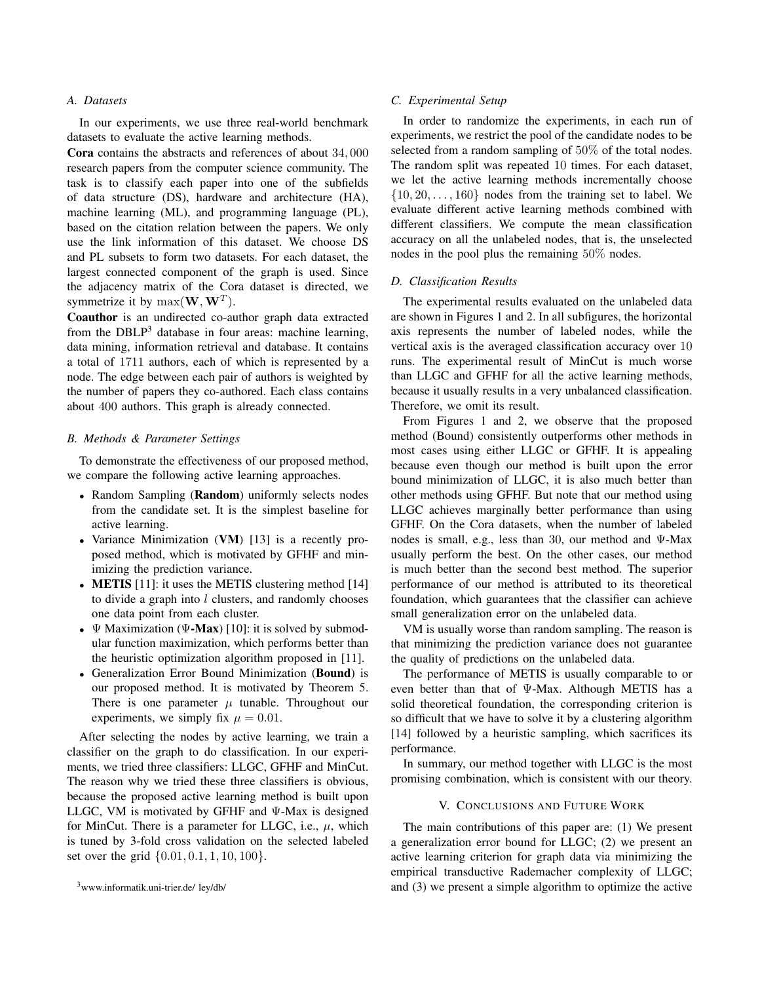## *A. Datasets*

In our experiments, we use three real-world benchmark datasets to evaluate the active learning methods.

Cora contains the abstracts and references of about 34*,* 000 research papers from the computer science community. The task is to classify each paper into one of the subfields of data structure (DS), hardware and architecture (HA), machine learning (ML), and programming language (PL), based on the citation relation between the papers. We only use the link information of this dataset. We choose DS and PL subsets to form two datasets. For each dataset, the largest connected component of the graph is used. Since the adjacency matrix of the Cora dataset is directed, we symmetrize it by  $\max(\mathbf{W}, \mathbf{W}^T)$ .

Coauthor is an undirected co-author graph data extracted from the DBLP<sup>3</sup> database in four areas: machine learning, data mining, information retrieval and database. It contains a total of 1711 authors, each of which is represented by a node. The edge between each pair of authors is weighted by the number of papers they co-authored. Each class contains about 400 authors. This graph is already connected.

### *B. Methods & Parameter Settings*

To demonstrate the effectiveness of our proposed method, we compare the following active learning approaches.

- Random Sampling (Random) uniformly selects nodes from the candidate set. It is the simplest baseline for active learning.
- *•* Variance Minimization (VM) [13] is a recently proposed method, which is motivated by GFHF and minimizing the prediction variance.
- **METIS** [11]: it uses the METIS clustering method [14] to divide a graph into *l* clusters, and randomly chooses one data point from each cluster.
- *•* Ψ Maximization (Ψ-Max) [10]: it is solved by submodular function maximization, which performs better than the heuristic optimization algorithm proposed in [11].
- *•* Generalization Error Bound Minimization (Bound) is our proposed method. It is motivated by Theorem 5. There is one parameter  $\mu$  tunable. Throughout our experiments, we simply fix  $\mu = 0.01$ .

After selecting the nodes by active learning, we train a classifier on the graph to do classification. In our experiments, we tried three classifiers: LLGC, GFHF and MinCut. The reason why we tried these three classifiers is obvious, because the proposed active learning method is built upon LLGC, VM is motivated by GFHF and Ψ-Max is designed for MinCut. There is a parameter for LLGC, i.e.,  $\mu$ , which is tuned by 3-fold cross validation on the selected labeled set over the grid *{*0*.*01*,* 0*.*1*,* 1*,* 10*,* 100*}*.

## *C. Experimental Setup*

In order to randomize the experiments, in each run of experiments, we restrict the pool of the candidate nodes to be selected from a random sampling of 50% of the total nodes. The random split was repeated 10 times. For each dataset, we let the active learning methods incrementally choose *{*10*,* 20*, . . . ,* 160*}* nodes from the training set to label. We evaluate different active learning methods combined with different classifiers. We compute the mean classification accuracy on all the unlabeled nodes, that is, the unselected nodes in the pool plus the remaining 50% nodes.

## *D. Classification Results*

The experimental results evaluated on the unlabeled data are shown in Figures 1 and 2. In all subfigures, the horizontal axis represents the number of labeled nodes, while the vertical axis is the averaged classification accuracy over 10 runs. The experimental result of MinCut is much worse than LLGC and GFHF for all the active learning methods, because it usually results in a very unbalanced classification. Therefore, we omit its result.

From Figures 1 and 2, we observe that the proposed method (Bound) consistently outperforms other methods in most cases using either LLGC or GFHF. It is appealing because even though our method is built upon the error bound minimization of LLGC, it is also much better than other methods using GFHF. But note that our method using LLGC achieves marginally better performance than using GFHF. On the Cora datasets, when the number of labeled nodes is small, e.g., less than 30, our method and Ψ-Max usually perform the best. On the other cases, our method is much better than the second best method. The superior performance of our method is attributed to its theoretical foundation, which guarantees that the classifier can achieve small generalization error on the unlabeled data.

VM is usually worse than random sampling. The reason is that minimizing the prediction variance does not guarantee the quality of predictions on the unlabeled data.

The performance of METIS is usually comparable to or even better than that of Ψ-Max. Although METIS has a solid theoretical foundation, the corresponding criterion is so difficult that we have to solve it by a clustering algorithm [14] followed by a heuristic sampling, which sacrifices its performance.

In summary, our method together with LLGC is the most promising combination, which is consistent with our theory.

## V. CONCLUSIONS AND FUTURE WORK

The main contributions of this paper are: (1) We present a generalization error bound for LLGC; (2) we present an active learning criterion for graph data via minimizing the empirical transductive Rademacher complexity of LLGC; and (3) we present a simple algorithm to optimize the active

<sup>3</sup>www.informatik.uni-trier.de/ ley/db/